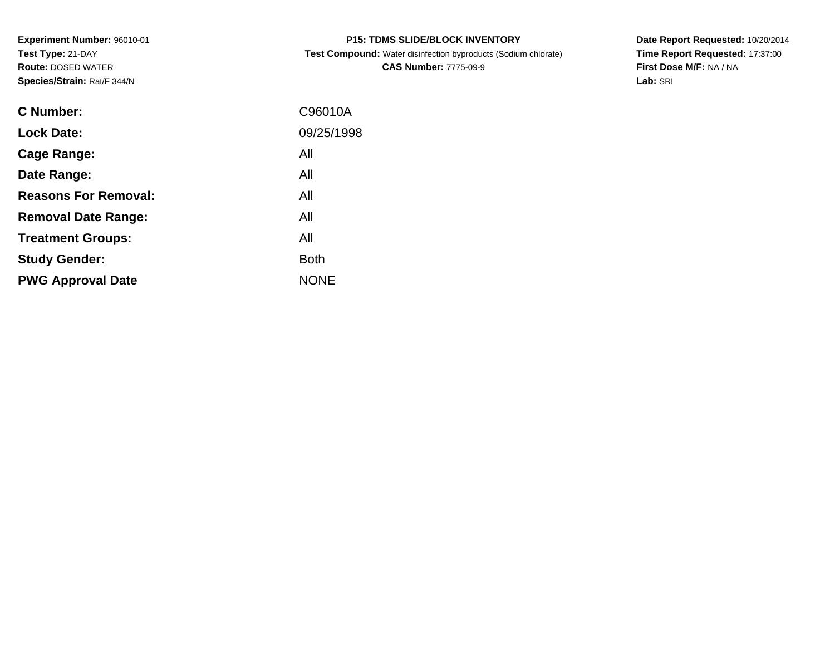**Experiment Number:** 96010-01**Test Type:** 21-DAY **Route:** DOSED WATER**Species/Strain:** Rat/F 344/N

 **Test Compound:** Water disinfection byproducts (Sodium chlorate)**CAS Number:** 7775-09-9

**Date Report Requested:** 10/20/2014 **Time Report Requested:** 17:37:00**First Dose M/F:** NA / NA**Lab:** SRI

| <b>C</b> Number:            | C96010A     |
|-----------------------------|-------------|
| <b>Lock Date:</b>           | 09/25/1998  |
| Cage Range:                 | All         |
| Date Range:                 | All         |
| <b>Reasons For Removal:</b> | All         |
| <b>Removal Date Range:</b>  | All         |
| <b>Treatment Groups:</b>    | All         |
| <b>Study Gender:</b>        | <b>Both</b> |
| <b>PWG Approval Date</b>    | <b>NONE</b> |
|                             |             |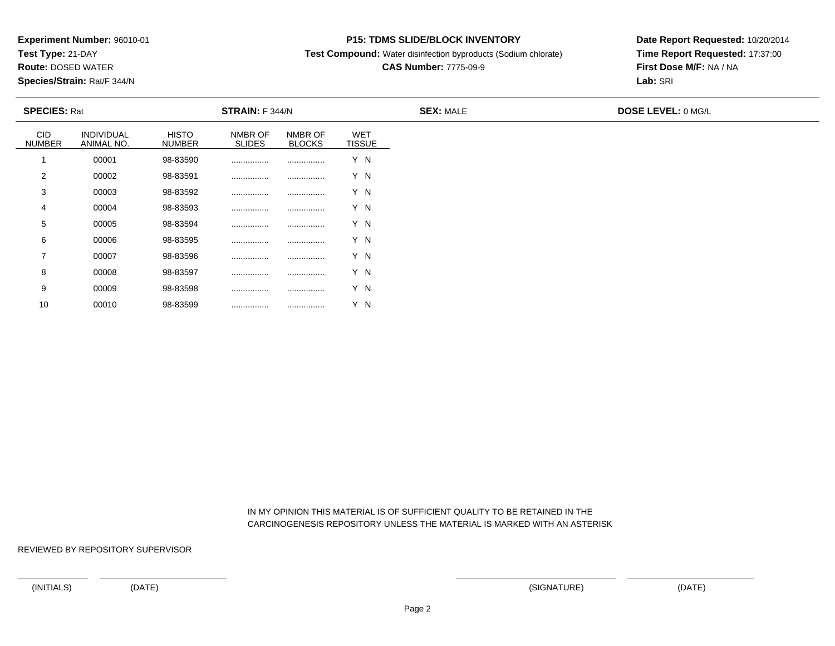**Test Type:** 21-DAY

**Route:** DOSED WATER

**Species/Strain:** Rat/F 344/N

### **P15: TDMS SLIDE/BLOCK INVENTORY**

**Test Compound:** Water disinfection byproducts (Sodium chlorate)

# **CAS Number:** 7775-09-9

**Date Report Requested:** 10/20/2014**Time Report Requested:** 17:37:00**First Dose M/F:** NA / NA**Lab:** SRI

| <b>SPECIES: Rat</b>         |                          |                               | STRAIN: F 344/N          |                          |                             | <b>SEX: MALE</b> | <b>DOSE LEVEL: 0 MG/L</b> |  |  |
|-----------------------------|--------------------------|-------------------------------|--------------------------|--------------------------|-----------------------------|------------------|---------------------------|--|--|
| <b>CID</b><br><b>NUMBER</b> | INDIVIDUAL<br>ANIMAL NO. | <b>HISTO</b><br><b>NUMBER</b> | NMBR OF<br><b>SLIDES</b> | NMBR OF<br><b>BLOCKS</b> | <b>WET</b><br><b>TISSUE</b> |                  |                           |  |  |
|                             | 00001                    | 98-83590                      |                          |                          | Y N                         |                  |                           |  |  |
| 2                           | 00002                    | 98-83591                      |                          |                          | Y N                         |                  |                           |  |  |
| 3                           | 00003                    | 98-83592                      |                          |                          | Y N                         |                  |                           |  |  |
| 4                           | 00004                    | 98-83593                      |                          |                          | Y N                         |                  |                           |  |  |
| 5                           | 00005                    | 98-83594                      |                          |                          | Y N                         |                  |                           |  |  |
| 6                           | 00006                    | 98-83595                      |                          |                          | Y N                         |                  |                           |  |  |
| $\overline{\phantom{a}}$    | 00007                    | 98-83596                      |                          | .                        | Y N                         |                  |                           |  |  |
| 8                           | 00008                    | 98-83597                      |                          |                          | Y N                         |                  |                           |  |  |
| 9                           | 00009                    | 98-83598                      |                          |                          | Y N                         |                  |                           |  |  |

 IN MY OPINION THIS MATERIAL IS OF SUFFICIENT QUALITY TO BE RETAINED IN THECARCINOGENESIS REPOSITORY UNLESS THE MATERIAL IS MARKED WITH AN ASTERISK

REVIEWED BY REPOSITORY SUPERVISOR

10

<sup>00010</sup> 98-83599 ................ ................ Y N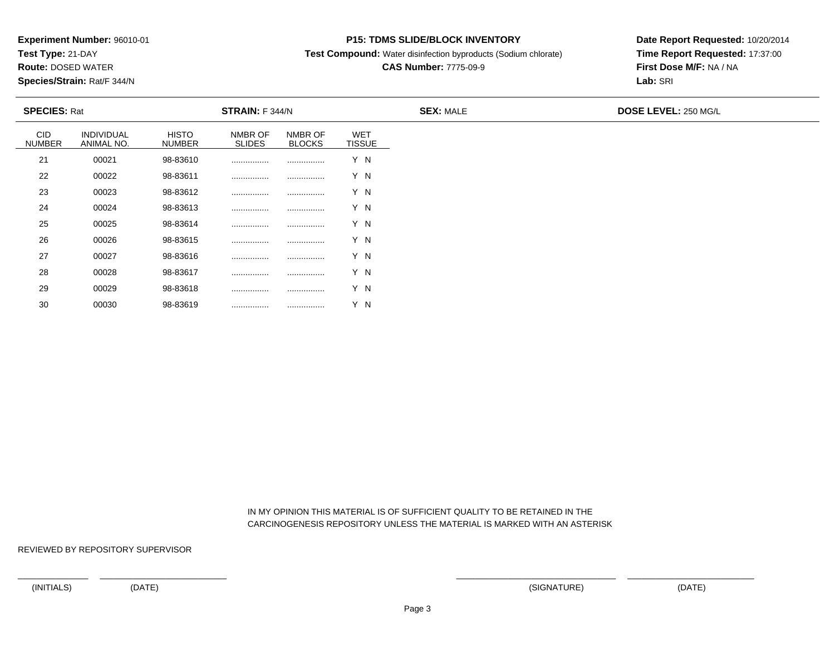**Test Type:** 21-DAY

**Route:** DOSED WATER

**Species/Strain:** Rat/F 344/N

### **P15: TDMS SLIDE/BLOCK INVENTORY**

**Test Compound:** Water disinfection byproducts (Sodium chlorate)

# **CAS Number:** 7775-09-9

**Date Report Requested:** 10/20/2014**Time Report Requested:** 17:37:00**First Dose M/F:** NA / NA**Lab:** SRI

| <b>SPECIES: Rat</b>         |                          |                               | <b>STRAIN:</b> F 344/N   |                          |                             | <b>SEX: MALE</b> | DOSE LEVEL: 250 MG/L |  |
|-----------------------------|--------------------------|-------------------------------|--------------------------|--------------------------|-----------------------------|------------------|----------------------|--|
| <b>CID</b><br><b>NUMBER</b> | INDIVIDUAL<br>ANIMAL NO. | <b>HISTO</b><br><b>NUMBER</b> | NMBR OF<br><b>SLIDES</b> | NMBR OF<br><b>BLOCKS</b> | <b>WET</b><br><b>TISSUE</b> |                  |                      |  |
| 21                          | 00021                    | 98-83610                      |                          |                          | Y N                         |                  |                      |  |
| 22                          | 00022                    | 98-83611                      |                          |                          | Y N                         |                  |                      |  |
| 23                          | 00023                    | 98-83612                      |                          |                          | Y N                         |                  |                      |  |
| 24                          | 00024                    | 98-83613                      |                          |                          | Y N                         |                  |                      |  |
| 25                          | 00025                    | 98-83614                      |                          |                          | Y N                         |                  |                      |  |
| 26                          | 00026                    | 98-83615                      |                          |                          | Y N                         |                  |                      |  |
| 27                          | 00027                    | 98-83616                      |                          |                          | Y N                         |                  |                      |  |
| 28                          | 00028                    | 98-83617                      |                          |                          | Y N                         |                  |                      |  |
| 29                          | 00029                    | 98-83618                      |                          | .                        | Y N                         |                  |                      |  |

 IN MY OPINION THIS MATERIAL IS OF SUFFICIENT QUALITY TO BE RETAINED IN THECARCINOGENESIS REPOSITORY UNLESS THE MATERIAL IS MARKED WITH AN ASTERISK

REVIEWED BY REPOSITORY SUPERVISOR

30

<sup>00030</sup> 98-83619 ................ ................ Y N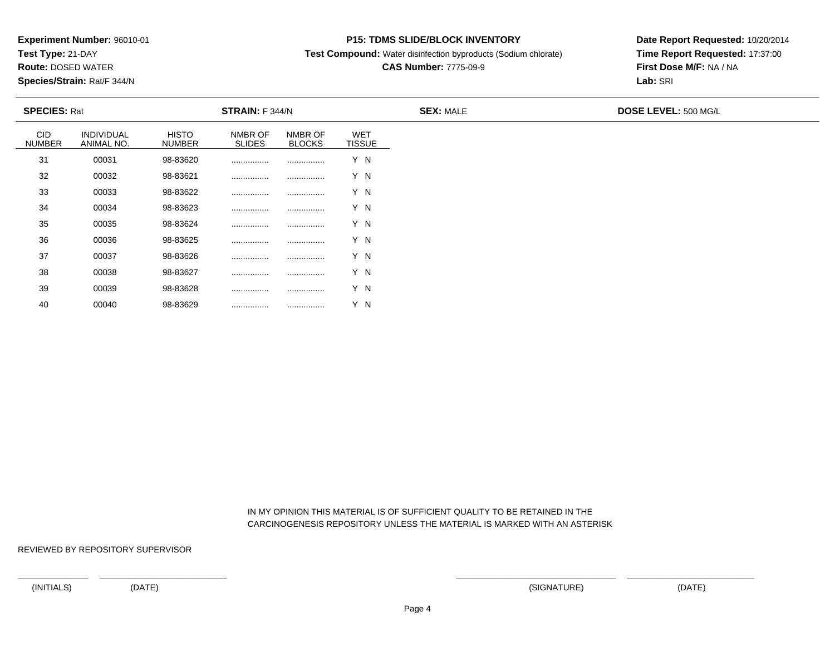**Test Type:** 21-DAY

**Route:** DOSED WATER

**Species/Strain:** Rat/F 344/N

### **P15: TDMS SLIDE/BLOCK INVENTORY**

**Test Compound:** Water disinfection byproducts (Sodium chlorate)

# **CAS Number:** 7775-09-9

**Date Report Requested:** 10/20/2014**Time Report Requested:** 17:37:00**First Dose M/F:** NA / NA**Lab:** SRI

| <b>SPECIES: Rat</b>         |                          |                               | STRAIN: F 344/N          |                          |                      | <b>SEX: MALE</b> | DOSE LEVEL: 500 MG/L |  |
|-----------------------------|--------------------------|-------------------------------|--------------------------|--------------------------|----------------------|------------------|----------------------|--|
| <b>CID</b><br><b>NUMBER</b> | INDIVIDUAL<br>ANIMAL NO. | <b>HISTO</b><br><b>NUMBER</b> | NMBR OF<br><b>SLIDES</b> | NMBR OF<br><b>BLOCKS</b> | WET<br><b>TISSUE</b> |                  |                      |  |
| 31                          | 00031                    | 98-83620                      |                          |                          | Y N                  |                  |                      |  |
| 32                          | 00032                    | 98-83621                      |                          |                          | Y N                  |                  |                      |  |
| 33                          | 00033                    | 98-83622                      |                          |                          | Y N                  |                  |                      |  |
| 34                          | 00034                    | 98-83623                      |                          |                          | Y N                  |                  |                      |  |
| 35                          | 00035                    | 98-83624                      |                          |                          | Y N                  |                  |                      |  |
| 36                          | 00036                    | 98-83625                      |                          |                          | Y N                  |                  |                      |  |
| 37                          | 00037                    | 98-83626                      | .                        |                          | Y N                  |                  |                      |  |
| 38                          | 00038                    | 98-83627                      |                          |                          | Y N                  |                  |                      |  |
| 39                          | 00039                    | 98-83628                      |                          |                          | Y N                  |                  |                      |  |

 IN MY OPINION THIS MATERIAL IS OF SUFFICIENT QUALITY TO BE RETAINED IN THECARCINOGENESIS REPOSITORY UNLESS THE MATERIAL IS MARKED WITH AN ASTERISK

REVIEWED BY REPOSITORY SUPERVISOR

40

<sup>00040</sup> 98-83629 ................ ................ Y N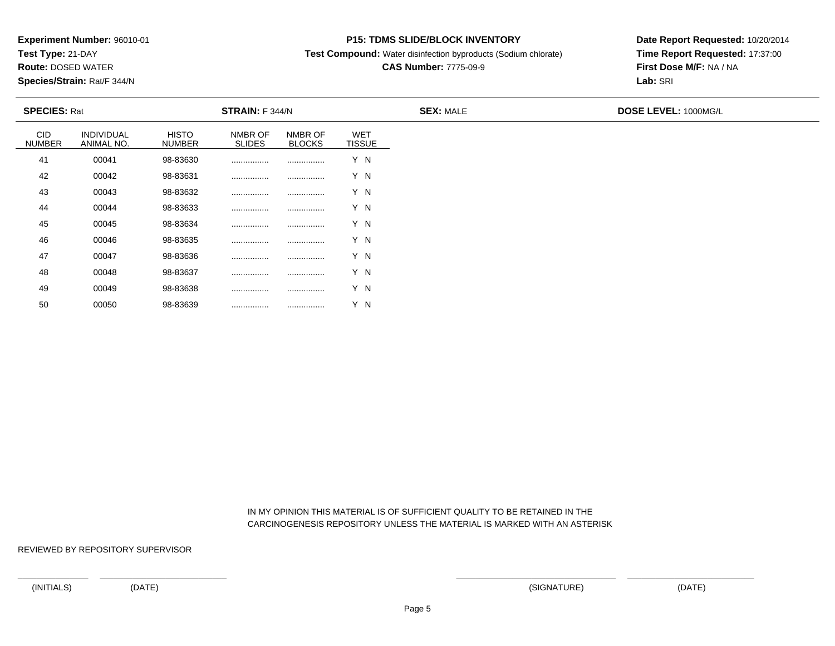**Test Type:** 21-DAY

**Route:** DOSED WATER

**Species/Strain:** Rat/F 344/N

### **P15: TDMS SLIDE/BLOCK INVENTORY**

**Test Compound:** Water disinfection byproducts (Sodium chlorate)

# **CAS Number:** 7775-09-9

**Date Report Requested:** 10/20/2014**Time Report Requested:** 17:37:00**First Dose M/F:** NA / NA**Lab:** SRI

| <b>SPECIES: Rat</b>         |                          |                               | <b>STRAIN:</b> F 344/N   |                          |                             | <b>SEX: MALE</b> | DOSE LEVEL: 1000MG/L |  |
|-----------------------------|--------------------------|-------------------------------|--------------------------|--------------------------|-----------------------------|------------------|----------------------|--|
| <b>CID</b><br><b>NUMBER</b> | INDIVIDUAL<br>ANIMAL NO. | <b>HISTO</b><br><b>NUMBER</b> | NMBR OF<br><b>SLIDES</b> | NMBR OF<br><b>BLOCKS</b> | <b>WET</b><br><b>TISSUE</b> |                  |                      |  |
| 41                          | 00041                    | 98-83630                      |                          |                          | Y N                         |                  |                      |  |
| 42                          | 00042                    | 98-83631                      |                          |                          | Y N                         |                  |                      |  |
| 43                          | 00043                    | 98-83632                      |                          |                          | Y N                         |                  |                      |  |
| 44                          | 00044                    | 98-83633                      |                          |                          | Y N                         |                  |                      |  |
| 45                          | 00045                    | 98-83634                      |                          |                          | Y N                         |                  |                      |  |
| 46                          | 00046                    | 98-83635                      |                          |                          | Y N                         |                  |                      |  |
| 47                          | 00047                    | 98-83636                      |                          |                          | Y N                         |                  |                      |  |
| 48                          | 00048                    | 98-83637                      |                          |                          | Y N                         |                  |                      |  |
| 49                          | 00049                    | 98-83638                      |                          |                          | Y N                         |                  |                      |  |

 IN MY OPINION THIS MATERIAL IS OF SUFFICIENT QUALITY TO BE RETAINED IN THECARCINOGENESIS REPOSITORY UNLESS THE MATERIAL IS MARKED WITH AN ASTERISK

REVIEWED BY REPOSITORY SUPERVISOR

50

<sup>00050</sup> 98-83639 ................ ................ Y N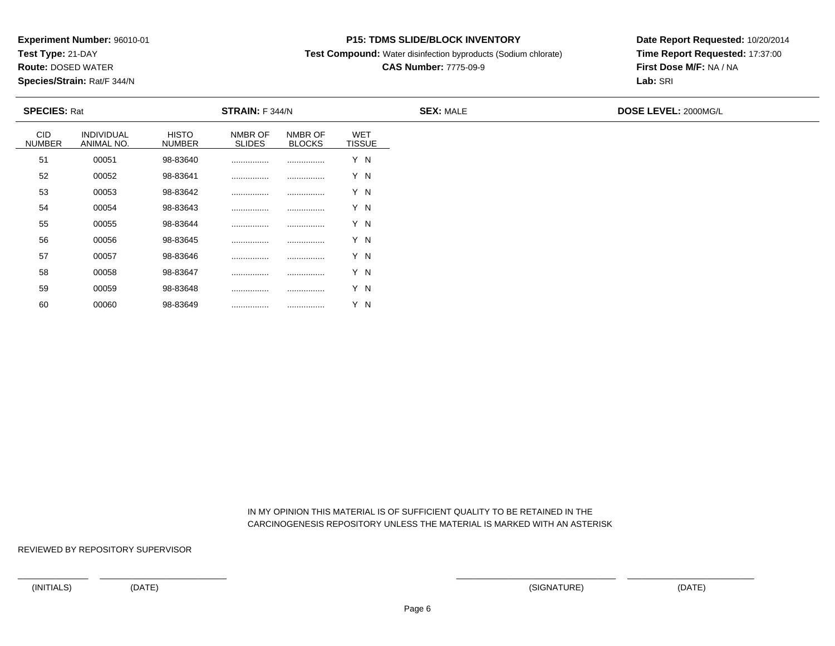**Test Type:** 21-DAY

**Route:** DOSED WATER

**Species/Strain:** Rat/F 344/N

### **P15: TDMS SLIDE/BLOCK INVENTORY**

**Test Compound:** Water disinfection byproducts (Sodium chlorate)

# **CAS Number:** 7775-09-9

**Date Report Requested:** 10/20/2014**Time Report Requested:** 17:37:00**First Dose M/F:** NA / NA**Lab:** SRI

| <b>SPECIES: Rat</b>         |                          |                               | STRAIN: F 344/N          |                          |                      | <b>SEX: MALE</b> | <b>DOSE LEVEL: 2000MG/L</b> |  |
|-----------------------------|--------------------------|-------------------------------|--------------------------|--------------------------|----------------------|------------------|-----------------------------|--|
| <b>CID</b><br><b>NUMBER</b> | INDIVIDUAL<br>ANIMAL NO. | <b>HISTO</b><br><b>NUMBER</b> | NMBR OF<br><b>SLIDES</b> | NMBR OF<br><b>BLOCKS</b> | WET<br><b>TISSUE</b> |                  |                             |  |
| 51                          | 00051                    | 98-83640                      |                          |                          | Y N                  |                  |                             |  |
| 52                          | 00052                    | 98-83641                      |                          |                          | Y N                  |                  |                             |  |
| 53                          | 00053                    | 98-83642                      |                          |                          | Y N                  |                  |                             |  |
| 54                          | 00054                    | 98-83643                      |                          |                          | Y N                  |                  |                             |  |
| 55                          | 00055                    | 98-83644                      |                          |                          | Y N                  |                  |                             |  |
| 56                          | 00056                    | 98-83645                      |                          |                          | Y N                  |                  |                             |  |
| 57                          | 00057                    | 98-83646                      | .                        |                          | Y N                  |                  |                             |  |
| 58                          | 00058                    | 98-83647                      |                          |                          | Y N                  |                  |                             |  |
| 59                          | 00059                    | 98-83648                      |                          |                          | Y N                  |                  |                             |  |

 IN MY OPINION THIS MATERIAL IS OF SUFFICIENT QUALITY TO BE RETAINED IN THECARCINOGENESIS REPOSITORY UNLESS THE MATERIAL IS MARKED WITH AN ASTERISK

REVIEWED BY REPOSITORY SUPERVISOR

60

<sup>00060</sup> 98-83649 ................ ................ Y N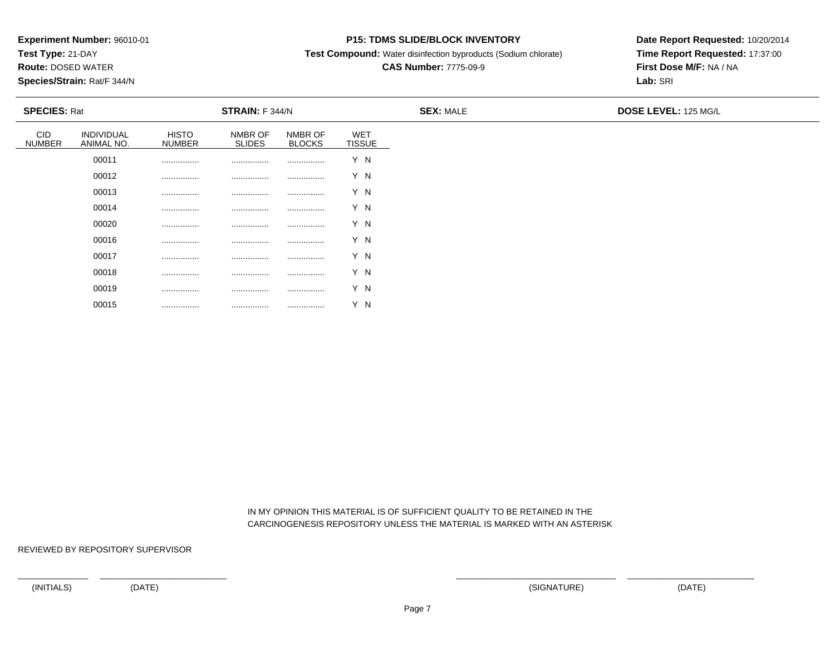**Test Type:** 21-DAY

**Route:** DOSED WATER

**Species/Strain:** Rat/F 344/N

### **P15: TDMS SLIDE/BLOCK INVENTORY**

**Test Compound:** Water disinfection byproducts (Sodium chlorate)

# **CAS Number:** 7775-09-9

**Date Report Requested:** 10/20/2014**Time Report Requested:** 17:37:00**First Dose M/F:** NA / NA**Lab:** SRI

| <b>SPECIES: Rat</b>         |                          |                               | <b>STRAIN:</b> F 344/N   |                          |                             | <b>SEX: MALE</b><br><b>DOSE LEVEL: 125 MG/L</b> |  |
|-----------------------------|--------------------------|-------------------------------|--------------------------|--------------------------|-----------------------------|-------------------------------------------------|--|
| <b>CID</b><br><b>NUMBER</b> | INDIVIDUAL<br>ANIMAL NO. | <b>HISTO</b><br><b>NUMBER</b> | NMBR OF<br><b>SLIDES</b> | NMBR OF<br><b>BLOCKS</b> | <b>WET</b><br><b>TISSUE</b> |                                                 |  |
|                             | 00011                    |                               |                          | .                        | Y N                         |                                                 |  |
|                             | 00012                    |                               |                          |                          | Y N                         |                                                 |  |
|                             | 00013                    |                               |                          | .                        | Y N                         |                                                 |  |
|                             | 00014                    |                               |                          | .                        | Y N                         |                                                 |  |
|                             | 00020                    |                               |                          |                          | Y N                         |                                                 |  |
|                             | 00016                    |                               |                          |                          | Y N                         |                                                 |  |
|                             | 00017                    |                               |                          |                          | Y N                         |                                                 |  |
|                             | 00018                    |                               |                          |                          | Y N                         |                                                 |  |
|                             | 00019                    |                               |                          |                          | Y N                         |                                                 |  |

 IN MY OPINION THIS MATERIAL IS OF SUFFICIENT QUALITY TO BE RETAINED IN THECARCINOGENESIS REPOSITORY UNLESS THE MATERIAL IS MARKED WITH AN ASTERISK

REVIEWED BY REPOSITORY SUPERVISOR

00015

................ ................ ................ Y N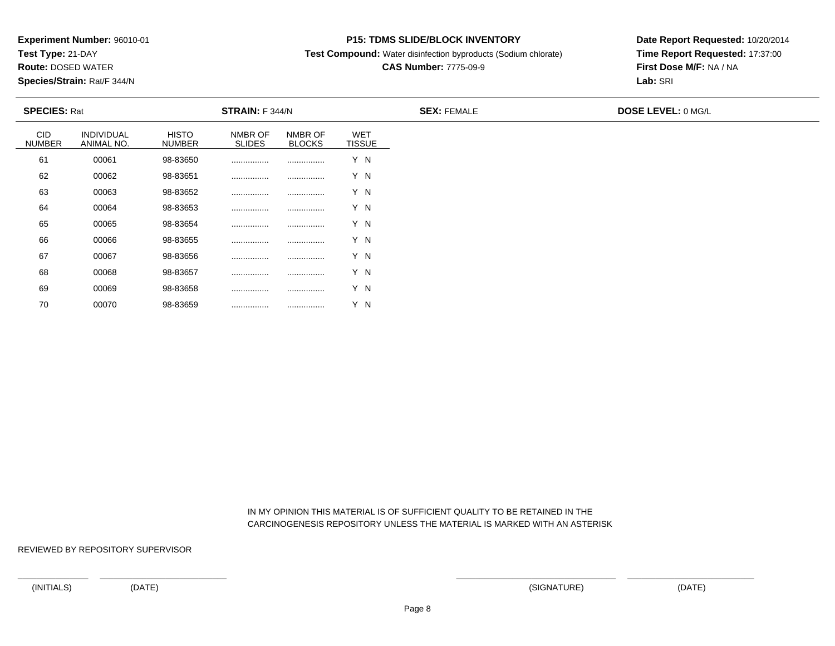**Test Type:** 21-DAY

**Route:** DOSED WATER

**Species/Strain:** Rat/F 344/N

### **P15: TDMS SLIDE/BLOCK INVENTORY**

**Test Compound:** Water disinfection byproducts (Sodium chlorate)

## **CAS Number:** 7775-09-9

**Date Report Requested:** 10/20/2014**Time Report Requested:** 17:37:00**First Dose M/F:** NA / NA**Lab:** SRI

|                      | <b>SPECIES: Rat</b><br><b>STRAIN:</b> F 344/N |                               |                          | <b>SEX: FEMALE</b>       | <b>DOSE LEVEL: 0 MG/L</b>   |  |  |
|----------------------|-----------------------------------------------|-------------------------------|--------------------------|--------------------------|-----------------------------|--|--|
| CID<br><b>NUMBER</b> | <b>INDIVIDUAL</b><br>ANIMAL NO.               | <b>HISTO</b><br><b>NUMBER</b> | NMBR OF<br><b>SLIDES</b> | NMBR OF<br><b>BLOCKS</b> | <b>WET</b><br><b>TISSUE</b> |  |  |
| 61                   | 00061                                         | 98-83650                      |                          |                          | Y N                         |  |  |
| 62                   | 00062                                         | 98-83651                      |                          |                          | Y N                         |  |  |
| 63                   | 00063                                         | 98-83652                      |                          |                          | Y N                         |  |  |
| 64                   | 00064                                         | 98-83653                      |                          |                          | Y N                         |  |  |
| 65                   | 00065                                         | 98-83654                      |                          |                          | Y N                         |  |  |
| 66                   | 00066                                         | 98-83655                      | .                        |                          | Y N                         |  |  |
| 67                   | 00067                                         | 98-83656                      |                          |                          | Y N                         |  |  |
| 68                   | 00068                                         | 98-83657                      |                          |                          | Y N                         |  |  |
| 69                   | 00069                                         | 98-83658                      |                          |                          | Y N                         |  |  |

 IN MY OPINION THIS MATERIAL IS OF SUFFICIENT QUALITY TO BE RETAINED IN THECARCINOGENESIS REPOSITORY UNLESS THE MATERIAL IS MARKED WITH AN ASTERISK

REVIEWED BY REPOSITORY SUPERVISOR

70

<sup>00070</sup> 98-83659 ................ ................ Y N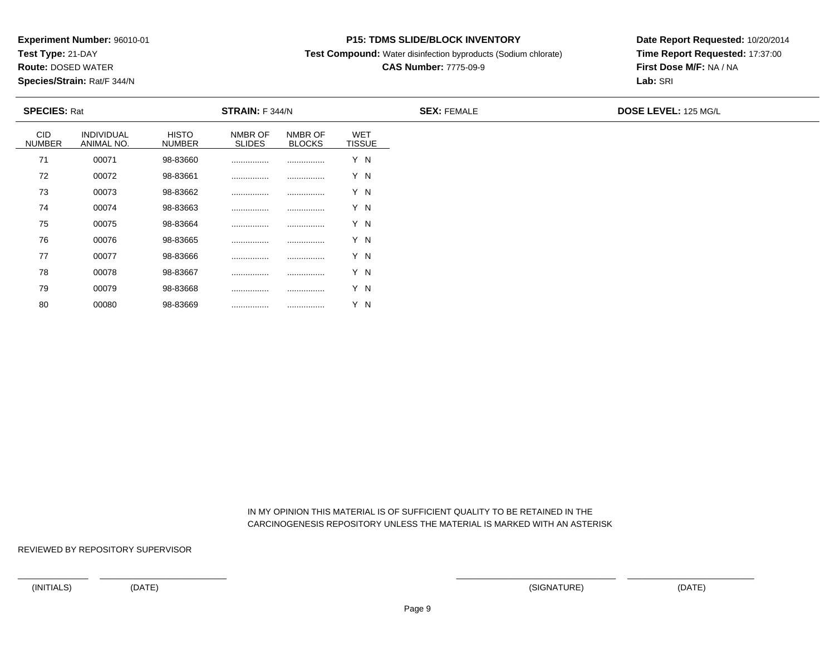**Test Type:** 21-DAY

**Route:** DOSED WATER

**Species/Strain:** Rat/F 344/N

### **P15: TDMS SLIDE/BLOCK INVENTORY**

**Test Compound:** Water disinfection byproducts (Sodium chlorate)

## **CAS Number:** 7775-09-9

**Date Report Requested:** 10/20/2014**Time Report Requested:** 17:37:00**First Dose M/F:** NA / NA**Lab:** SRI

| <b>SPECIES: Rat</b>  |                          |                               | <b>STRAIN:</b> F 344/N   |                          |                             | <b>SEX: FEMALE</b> | <b>DOSE LEVEL: 125 MG/L</b> |
|----------------------|--------------------------|-------------------------------|--------------------------|--------------------------|-----------------------------|--------------------|-----------------------------|
| CID<br><b>NUMBER</b> | INDIVIDUAL<br>ANIMAL NO. | <b>HISTO</b><br><b>NUMBER</b> | NMBR OF<br><b>SLIDES</b> | NMBR OF<br><b>BLOCKS</b> | <b>WET</b><br><b>TISSUE</b> |                    |                             |
| 71                   | 00071                    | 98-83660                      |                          |                          | Y N                         |                    |                             |
| 72                   | 00072                    | 98-83661                      |                          |                          | Y N                         |                    |                             |
| 73                   | 00073                    | 98-83662                      |                          |                          | Y N                         |                    |                             |
| 74                   | 00074                    | 98-83663                      |                          |                          | Y N                         |                    |                             |
| 75                   | 00075                    | 98-83664                      |                          |                          | Y N                         |                    |                             |
| 76                   | 00076                    | 98-83665                      |                          |                          | Y N                         |                    |                             |
| 77                   | 00077                    | 98-83666                      |                          |                          | Y N                         |                    |                             |
| 78                   | 00078                    | 98-83667                      |                          |                          | Y N                         |                    |                             |
| 79                   | 00079                    | 98-83668                      |                          |                          | Y N                         |                    |                             |

 IN MY OPINION THIS MATERIAL IS OF SUFFICIENT QUALITY TO BE RETAINED IN THECARCINOGENESIS REPOSITORY UNLESS THE MATERIAL IS MARKED WITH AN ASTERISK

REVIEWED BY REPOSITORY SUPERVISOR

<sup>00080</sup> 98-83669 ................ ................ Y N

80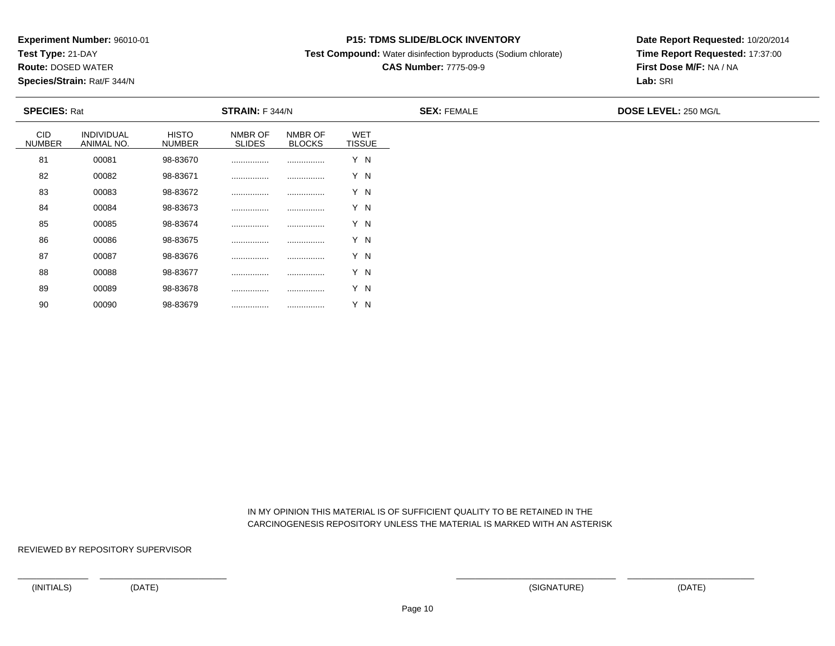**Test Type:** 21-DAY

**Route:** DOSED WATER

**Species/Strain:** Rat/F 344/N

### **P15: TDMS SLIDE/BLOCK INVENTORY**

**Test Compound:** Water disinfection byproducts (Sodium chlorate)

# **CAS Number:** 7775-09-9

**Date Report Requested:** 10/20/2014**Time Report Requested:** 17:37:00**First Dose M/F:** NA / NA**Lab:** SRI

| <b>SPECIES: Rat</b>         |                          |                        | <b>STRAIN:</b> F 344/N   |                          |                             | <b>SEX: FEMALE</b> | DOSE LEVEL: 250 MG/L |
|-----------------------------|--------------------------|------------------------|--------------------------|--------------------------|-----------------------------|--------------------|----------------------|
| <b>CID</b><br><b>NUMBER</b> | INDIVIDUAL<br>ANIMAL NO. | <b>HISTO</b><br>NUMBER | NMBR OF<br><b>SLIDES</b> | NMBR OF<br><b>BLOCKS</b> | <b>WET</b><br><b>TISSUE</b> |                    |                      |
| 81                          | 00081                    | 98-83670               |                          |                          | Y N                         |                    |                      |
| 82                          | 00082                    | 98-83671               |                          |                          | Y N                         |                    |                      |
| 83                          | 00083                    | 98-83672               |                          |                          | Y N                         |                    |                      |
| 84                          | 00084                    | 98-83673               |                          |                          | Y N                         |                    |                      |
| 85                          | 00085                    | 98-83674               |                          |                          | Y N                         |                    |                      |
| 86                          | 00086                    | 98-83675               |                          |                          | Y N                         |                    |                      |
| 87                          | 00087                    | 98-83676               |                          | .                        | Y N                         |                    |                      |
| 88                          | 00088                    | 98-83677               |                          |                          | Y N                         |                    |                      |
| 89                          | 00089                    | 98-83678               |                          | .                        | Y N                         |                    |                      |

 IN MY OPINION THIS MATERIAL IS OF SUFFICIENT QUALITY TO BE RETAINED IN THECARCINOGENESIS REPOSITORY UNLESS THE MATERIAL IS MARKED WITH AN ASTERISK

REVIEWED BY REPOSITORY SUPERVISOR

<sup>00090</sup> 98-83679 ................ ................ Y N

90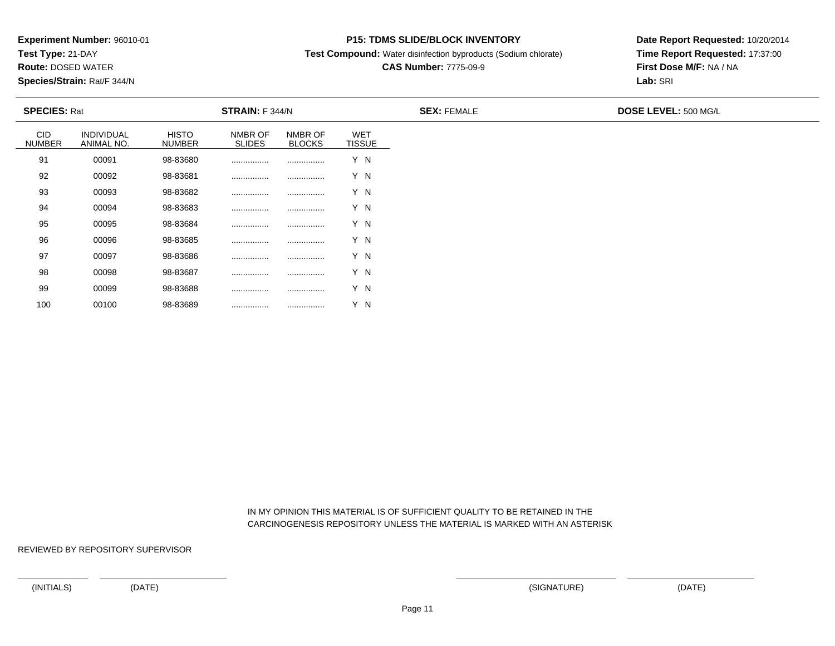**Test Type:** 21-DAY

**Route:** DOSED WATER

**Species/Strain:** Rat/F 344/N

### **P15: TDMS SLIDE/BLOCK INVENTORY**

**Test Compound:** Water disinfection byproducts (Sodium chlorate)

# **CAS Number:** 7775-09-9

**Date Report Requested:** 10/20/2014**Time Report Requested:** 17:37:00**First Dose M/F:** NA / NA**Lab:** SRI

| <b>SPECIES: Rat</b>         |                          |                        | <b>STRAIN:</b> F 344/N   |                          |                             | <b>SEX: FEMALE</b> | DOSE LEVEL: 500 MG/L |
|-----------------------------|--------------------------|------------------------|--------------------------|--------------------------|-----------------------------|--------------------|----------------------|
| <b>CID</b><br><b>NUMBER</b> | INDIVIDUAL<br>ANIMAL NO. | <b>HISTO</b><br>NUMBER | NMBR OF<br><b>SLIDES</b> | NMBR OF<br><b>BLOCKS</b> | <b>WET</b><br><b>TISSUE</b> |                    |                      |
| 91                          | 00091                    | 98-83680               |                          |                          | Y N                         |                    |                      |
| 92                          | 00092                    | 98-83681               |                          |                          | Y N                         |                    |                      |
| 93                          | 00093                    | 98-83682               |                          |                          | Y N                         |                    |                      |
| 94                          | 00094                    | 98-83683               |                          |                          | Y N                         |                    |                      |
| 95                          | 00095                    | 98-83684               |                          |                          | Y N                         |                    |                      |
| 96                          | 00096                    | 98-83685               |                          |                          | Y N                         |                    |                      |
| 97                          | 00097                    | 98-83686               |                          | .                        | Y N                         |                    |                      |
| 98                          | 00098                    | 98-83687               |                          |                          | Y N                         |                    |                      |
| 99                          | 00099                    | 98-83688               |                          | .                        | Y N                         |                    |                      |

 IN MY OPINION THIS MATERIAL IS OF SUFFICIENT QUALITY TO BE RETAINED IN THECARCINOGENESIS REPOSITORY UNLESS THE MATERIAL IS MARKED WITH AN ASTERISK

REVIEWED BY REPOSITORY SUPERVISOR

100

<sup>00100</sup> 98-83689 ................ ................ Y N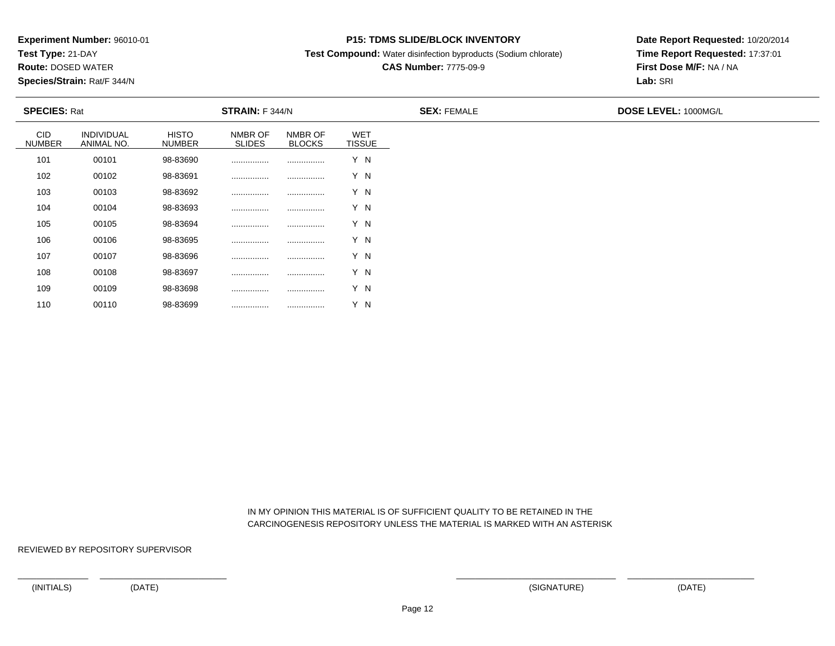**Test Type:** 21-DAY

**Route:** DOSED WATER

**Species/Strain:** Rat/F 344/N

### **P15: TDMS SLIDE/BLOCK INVENTORY**

**Test Compound:** Water disinfection byproducts (Sodium chlorate)

# **CAS Number:** 7775-09-9

**Date Report Requested:** 10/20/2014**Time Report Requested:** 17:37:01**First Dose M/F:** NA / NA**Lab:** SRI

| <b>SPECIES: Rat</b>         |                          |                               | <b>STRAIN: F 344/N</b>   |                          |                             | <b>SEX: FEMALE</b> | <b>DOSE LEVEL: 1000MG/L</b> |
|-----------------------------|--------------------------|-------------------------------|--------------------------|--------------------------|-----------------------------|--------------------|-----------------------------|
| <b>CID</b><br><b>NUMBER</b> | INDIVIDUAL<br>ANIMAL NO. | <b>HISTO</b><br><b>NUMBER</b> | NMBR OF<br><b>SLIDES</b> | NMBR OF<br><b>BLOCKS</b> | <b>WET</b><br><b>TISSUE</b> |                    |                             |
| 101                         | 00101                    | 98-83690                      |                          |                          | Y N                         |                    |                             |
| 102                         | 00102                    | 98-83691                      |                          |                          | Y N                         |                    |                             |
| 103                         | 00103                    | 98-83692                      |                          |                          | Y N                         |                    |                             |
| 104                         | 00104                    | 98-83693                      |                          |                          | Y N                         |                    |                             |
| 105                         | 00105                    | 98-83694                      | .                        |                          | Y N                         |                    |                             |
| 106                         | 00106                    | 98-83695                      | .                        |                          | Y N                         |                    |                             |
| 107                         | 00107                    | 98-83696                      | .                        |                          | Y N                         |                    |                             |
| 108                         | 00108                    | 98-83697                      |                          |                          | Y N                         |                    |                             |
| 109                         | 00109                    | 98-83698                      |                          |                          | Y N                         |                    |                             |

 IN MY OPINION THIS MATERIAL IS OF SUFFICIENT QUALITY TO BE RETAINED IN THECARCINOGENESIS REPOSITORY UNLESS THE MATERIAL IS MARKED WITH AN ASTERISK

REVIEWED BY REPOSITORY SUPERVISOR

110

<sup>00110</sup> 98-83699 ................ ................ Y N